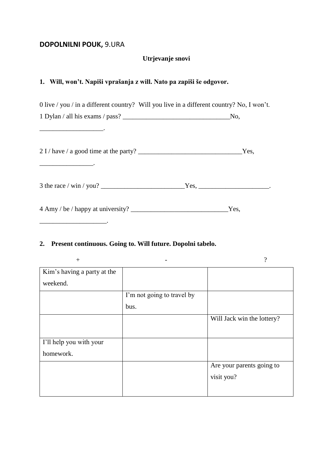# **DOPOLNILNI POUK,** 9.URA

### **Utrjevanje snovi**

# **1. Will, won't. Napiši vprašanja z will. Nato pa zapiši še odgovor.**

| 0 live / you / in a different country? Will you live in a different country? No, I won't. |  |
|-------------------------------------------------------------------------------------------|--|
|                                                                                           |  |
|                                                                                           |  |
|                                                                                           |  |
|                                                                                           |  |
|                                                                                           |  |

# **2. Present continuous. Going to. Will future. Dopolni tabelo.**

| $^{+}$                      |                            | $\overline{\cdot}$         |
|-----------------------------|----------------------------|----------------------------|
| Kim's having a party at the |                            |                            |
| weekend.                    |                            |                            |
|                             | I'm not going to travel by |                            |
|                             | bus.                       |                            |
|                             |                            | Will Jack win the lottery? |
|                             |                            |                            |
| I'll help you with your     |                            |                            |
| homework.                   |                            |                            |
|                             |                            | Are your parents going to  |
|                             |                            | visit you?                 |
|                             |                            |                            |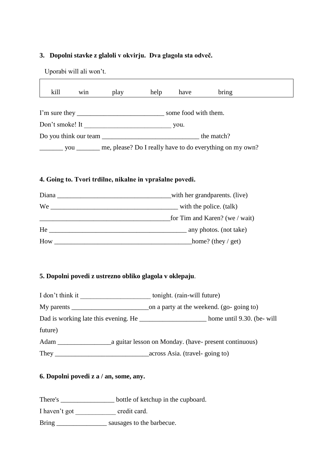#### **3. Dopolni stavke z glaloli v okvirju. Dva glagola sta odveč.**

Uporabi will ali won't.

 $\Gamma$ 

| kill                                                                                 | W <sub>1</sub> n | play | help | have                 | bring                                                    |
|--------------------------------------------------------------------------------------|------------------|------|------|----------------------|----------------------------------------------------------|
| I'm sure they $\frac{1}{\sqrt{1-\frac{1}{2}}}\left\lfloor \frac{1}{2} \right\rfloor$ |                  |      |      | some food with them. |                                                          |
| Don't smoke! It                                                                      |                  |      |      | you.                 |                                                          |
| Do you think our team                                                                |                  |      |      | the match?           |                                                          |
|                                                                                      | you              |      |      |                      | me, please? Do I really have to do everything on my own? |

 $\overline{\phantom{a}}$ 

#### **4. Going to. Tvori trdilne, nikalne in vprašalne povedi.**

| Diana | with her grandparents. (live)  |
|-------|--------------------------------|
| We    | with the police. (talk)        |
|       | for Tim and Karen? (we / wait) |
| He    | any photos. (not take)         |
| How   | home? (they / get)             |

### **5. Dopolni povedi z ustrezno obliko glagola v oklepaju**.

| I don't think it                     | tonight. (rain-will future)                           |
|--------------------------------------|-------------------------------------------------------|
|                                      | on a party at the weekend. (go-going to)              |
| Dad is working late this evening. He | home until 9.30. (be- will                            |
| future)                              |                                                       |
| Adam                                 | a guitar lesson on Monday. (have- present continuous) |
| They                                 | across Asia. (travel-going to)                        |

### **6. Dopolni povedi z a / an, some, any.**

There's \_\_\_\_\_\_\_\_\_\_\_\_\_\_\_\_\_\_\_ bottle of ketchup in the cupboard.

I haven't got \_\_\_\_\_\_\_\_\_\_\_\_\_\_\_\_ credit card.

Bring \_\_\_\_\_\_\_\_\_\_\_\_\_\_\_ sausages to the barbecue.